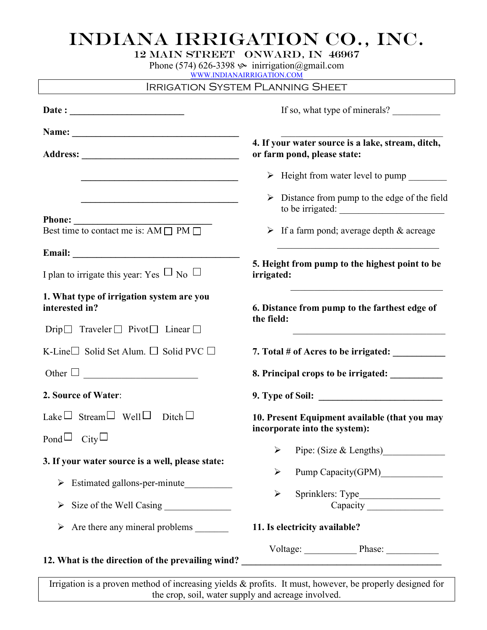## INDIANA IRRIGATION CO., INC.

| 12 MAIN STREET ONWARD, IN 46967 |  |
|---------------------------------|--|
|---------------------------------|--|

Phone (574) 626-3398  $\gg$  inirrigation@gmail.com

WWW.INDIANAIRRIGATION.COM

|                                                                                                                          | <b>IRRIGATION SYSTEM PLANNING SHEET</b>                                                                               |  |  |
|--------------------------------------------------------------------------------------------------------------------------|-----------------------------------------------------------------------------------------------------------------------|--|--|
| Date: $\qquad \qquad$                                                                                                    | If so, what type of minerals?                                                                                         |  |  |
|                                                                                                                          |                                                                                                                       |  |  |
|                                                                                                                          | 4. If your water source is a lake, stream, ditch,<br>or farm pond, please state:                                      |  |  |
|                                                                                                                          | > Height from water level to pump                                                                                     |  |  |
| <u> 1989 - Johann John Stein, markin fan it fjort fan it fjort fan it fjort fan it fjort fan it fjort fan it fjort f</u> | $\triangleright$ Distance from pump to the edge of the field<br>to be irrigated:                                      |  |  |
| <b>Phone:</b><br>Best time to contact me is: $AM \Box PM \Box$                                                           | $\triangleright$ If a farm pond; average depth & acreage                                                              |  |  |
|                                                                                                                          | <u> 1989 - Johann Barbara, martin amerikan basal dan berasal dalam basal dalam basal dalam basal dalam basal dala</u> |  |  |
| I plan to irrigate this year: Yes $\Box$ No $\Box$                                                                       | 5. Height from pump to the highest point to be<br>irrigated:                                                          |  |  |
| 1. What type of irrigation system are you<br>interested in?                                                              | 6. Distance from pump to the farthest edge of<br>the field:                                                           |  |  |
| Drip $\Box$ Traveler $\Box$ Pivot $\Box$ Linear $\Box$                                                                   | <u> 1980 - Johann Barn, mars ann an t-Amhain an t-Amhain an t-Amhain an t-Amhain an t-Amhain an t-Amhain an t-A</u>   |  |  |
| K-Line Solid Set Alum. $\Box$ Solid PVC $\Box$                                                                           | 7. Total # of Acres to be irrigated: ____________                                                                     |  |  |
| Other $\square$                                                                                                          | 8. Principal crops to be irrigated: ___________                                                                       |  |  |
| 2. Source of Water:                                                                                                      |                                                                                                                       |  |  |
| Lake $\Box$ Stream $\Box$ Well $\Box$ Ditch $\Box$<br>Pond $\Box$ City $\Box$                                            | 10. Present Equipment available (that you may<br>incorporate into the system):                                        |  |  |
|                                                                                                                          | Pipe: (Size & Lengths)<br>➤                                                                                           |  |  |
| 3. If your water source is a well, please state:                                                                         |                                                                                                                       |  |  |
| Estimated gallons-per-minute<br>➤                                                                                        | Pump Capacity(GPM)<br>➤                                                                                               |  |  |
| $\blacktriangleright$                                                                                                    | $\blacktriangleright$                                                                                                 |  |  |
|                                                                                                                          | 11. Is electricity available?                                                                                         |  |  |
| 12. What is the direction of the prevailing wind?                                                                        | Voltage: Phase: Phase:<br><u> 1980 - Andrea Brand, amerikansk politik (d. 1980)</u>                                   |  |  |

Irrigation is a proven method of increasing yields & profits. It must, however, be properly designed for the crop, soil, water supply and acreage involved.